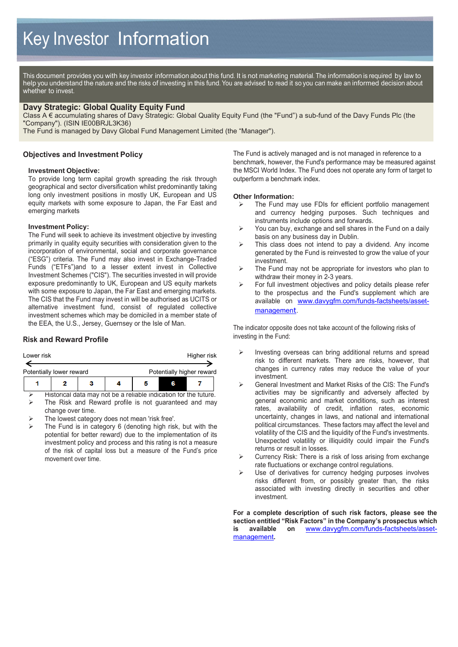This document provides you with key investor information about this fund. It is not marketing material. The information is required by law to help you understand the nature and the risks of investing in this fund. You are advised to read it so you can make an informed decision about whether to invest.

## **Davy Strategic: Global Quality Equity Fund**

Class A € accumulating shares of Davy Strategic: Global Quality Equity Fund (the "Fund") a sub-fund of the Davy Funds Plc (the "Company"). (ISIN IE00BRJL3K36)

The Fund is managed by Davy Global Fund Management Limited (the "Manager").

## **Objectives and Investment Policy**

#### **Investment Objective:**

To provide long term capital growth spreading the risk through geographical and sector diversification whilst predominantly taking long only investment positions in mostly UK, European and US equity markets with some exposure to Japan, the Far East and emerging markets

#### **Investment Policy:**

The Fund will seek to achieve its investment objective by investing primarily in quality equity securities with consideration given to the incorporation of environmental, social and corporate governance ("ESG") criteria. The Fund may also invest in Exchange-Traded Funds ("ETFs")and to a lesser extent invest in Collective Investment Schemes ("CIS"). The securities invested in will provide exposure predominantly to UK, European and US equity markets with some exposure to Japan, the Far East and emerging markets. The CIS that the Fund may invest in will be authorised as UCITS or alternative investment fund, consist of regulated collective investment schemes which may be domiciled in a member state of the EEA, the U.S., Jersey, Guernsey or the Isle of Man.

#### **Risk and Reward Profile**

| Lower risk               |  | Higher risk               |  |  |  |
|--------------------------|--|---------------------------|--|--|--|
| Potentially lower reward |  | Potentially higher reward |  |  |  |
| ,                        |  |                           |  |  |  |

 Historical data may not be a reliable indication for the future. The Risk and Reward profile is not guaranteed and may change over time.

- The lowest category does not mean 'risk free'.
- The Fund is in category 6 (denoting high risk, but with the potential for better reward) due to the implementation of its investment policy and process and this rating is not a measure of the risk of capital loss but a measure of the Fund's price movement over time.

The Fund is actively managed and is not managed in reference to a benchmark, however, the Fund's performance may be measured against the MSCI World Index. The Fund does not operate any form of target to outperform a benchmark index.

# **Other Information:**<br> **Example Fund manuform**

- The Fund may use FDIs for efficient portfolio management and currency hedging purposes. Such techniques and instruments include options and forwards.
- $\triangleright$  You can buy, exchange and sell shares in the Fund on a daily basis on any business day in Dublin.
- $\triangleright$  This class does not intend to pay a dividend. Any income generated by the Fund is reinvested to grow the value of your investment.
- $\triangleright$  The Fund may not be appropriate for investors who plan to withdraw their money in 2-3 years.
- $\triangleright$  For full investment objectives and policy details please refer to the prospectus and the Fund's supplement which are available on [www.davygfm.com/funds-factsheets/asset](http://www.davygfm.com/funds-factsheets/asset-management)[managemen](http://www.davygfm.com/funds-factsheets/asset-management)t.

The indicator opposite does not take account of the following risks of investing in the Fund:

- $\triangleright$  Investing overseas can bring additional returns and spread risk to different markets. There are risks, however, that changes in currency rates may reduce the value of your investment.
- General Investment and Market Risks of the CIS: The Fund's activities may be significantly and adversely affected by general economic and market conditions, such as interest rates, availability of credit, inflation rates, economic uncertainty, changes in laws, and national and international political circumstances. These factors may affect the level and volatility of the CIS and the liquidity of the Fund's investments. Unexpected volatility or illiquidity could impair the Fund's returns or result in losses.
- $\triangleright$  Currency Risk: There is a risk of loss arising from exchange rate fluctuations or exchange control regulations.
- $\triangleright$  Use of derivatives for currency hedging purposes involves risks different from, or possibly greater than, the risks associated with investing directly in securities and other investment.

**For a complete description of such risk factors, please see the section entitled "Risk Factors" in the Company's prospectus which is available on** [www.davygfm.com/funds-factsheets/asset](http://www.davygfm.com/funds-factsheets/asset-management)[management](http://www.davygfm.com/funds-factsheets/asset-management)**.**